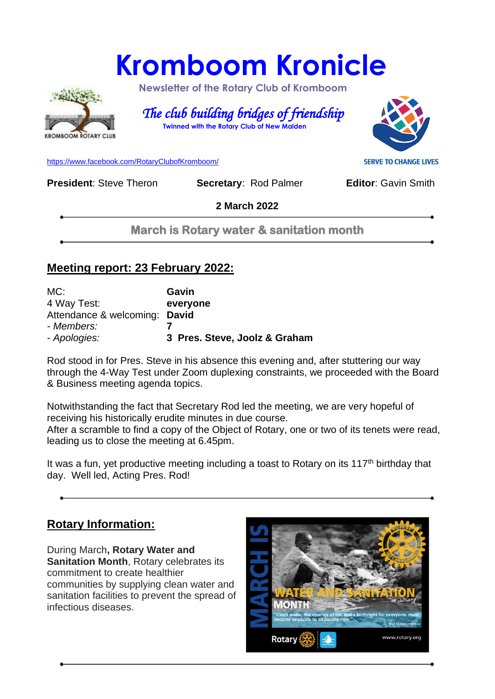# **Kromboom Kronicle**



 **Newsletter of the Rotary Club of Kromboom** 

 *The club building bridges of friendship*   **Twinned with the Rotary Club of New Malden**

[https://www.facebook.com/RotaryClubofKromboom/](https://emea01.safelinks.protection.outlook.com/?url=https%3A%2F%2Fwww.facebook.com%2FRotaryClubofKromboom%2F&data=04%7C01%7C%7Cd5cbab1d20df4229753808d958aed8b7%7C84df9e7fe9f640afb435aaaaaaaaaaaa%7C1%7C0%7C637638330257198543%7CUnknown%7CTWFpbGZsb3d8eyJWIjoiMC4wLjAwMDAiLCJQIjoiV2luMzIiLCJBTiI6Ik1haWwiLCJXVCI6Mn0%3D%7C1000&sdata=mDIKThBFOsjFFCPfaDaIk4CAPMCijMbG5OU6PW4Loes%3D&reserved=0)

**President:** Steve Theron **Secretary: Rod Palmer <b>Editor:** Gavin Smith

**2 March 2022**

**March is Rotary water & sanitation month** 

#### **Meeting report: 23 February 2022:**

| MC:                           | Gavin                         |
|-------------------------------|-------------------------------|
| 4 Way Test:                   | everyone                      |
| Attendance & welcoming: David |                               |
| - Members:                    |                               |
| - Apologies:                  | 3 Pres. Steve, Joolz & Graham |

Rod stood in for Pres. Steve in his absence this evening and, after stuttering our way through the 4-Way Test under Zoom duplexing constraints, we proceeded with the Board & Business meeting agenda topics.

Notwithstanding the fact that Secretary Rod led the meeting, we are very hopeful of receiving his historically erudite minutes in due course. After a scramble to find a copy of the Object of Rotary, one or two of its tenets were read, leading us to close the meeting at 6.45pm.

It was a fun, yet productive meeting including a toast to Rotary on its  $117<sup>th</sup>$  birthday that day. Well led, Acting Pres. Rod!

### **Rotary Information:**

During March**, Rotary Water and Sanitation Month**, Rotary celebrates its commitment to create healthier communities by supplying clean water and sanitation facilities to prevent the spread of infectious diseases.



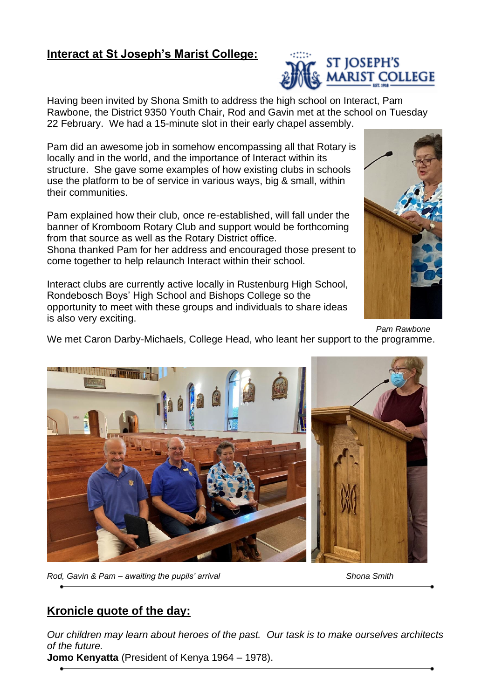#### **Interact at St Joseph's Marist College:**

Having been invited by Shona Smith to address the high school on Interact, Pam Rawbone, the District 9350 Youth Chair, Rod and Gavin met at the school on Tuesday 22 February. We had a 15-minute slot in their early chapel assembly.

Pam did an awesome job in somehow encompassing all that Rotary is locally and in the world, and the importance of Interact within its structure. She gave some examples of how existing clubs in schools use the platform to be of service in various ways, big & small, within their communities.

Pam explained how their club, once re-established, will fall under the banner of Kromboom Rotary Club and support would be forthcoming from that source as well as the Rotary District office. Shona thanked Pam for her address and encouraged those present to come together to help relaunch Interact within their school.

Interact clubs are currently active locally in Rustenburg High School, Rondebosch Boys' High School and Bishops College so the opportunity to meet with these groups and individuals to share ideas is also very exciting.

*Pam Rawbone* We met Caron Darby-Michaels, College Head, who leant her support to the programme.

*Rod, Gavin & Pam – awaiting the pupils' arrival Shona Smith*

### **Kronicle quote of the day:**

*Our children may learn about heroes of the past. Our task is to make ourselves architects of the future.*

**Jomo Kenyatta** (President of Kenya 1964 – 1978).





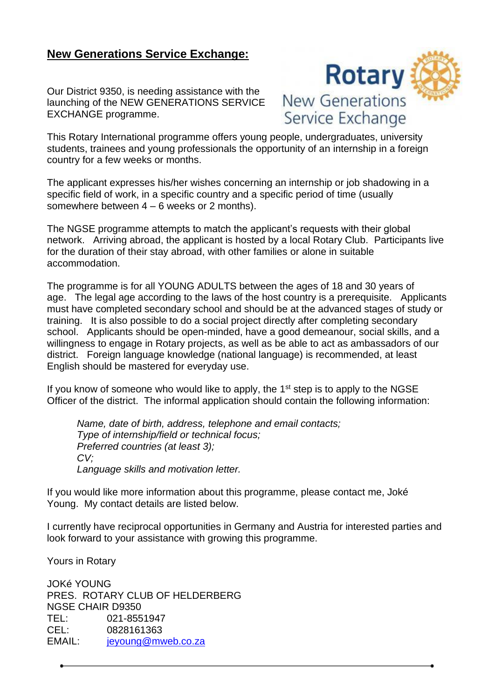#### **New Generations Service Exchange:**

Our District 9350, is needing assistance with the launching of the NEW GENERATIONS SERVICE EXCHANGE programme.



This Rotary International programme offers young people, undergraduates, university students, trainees and young professionals the opportunity of an internship in a foreign country for a few weeks or months.

The applicant expresses his/her wishes concerning an internship or job shadowing in a specific field of work, in a specific country and a specific period of time (usually somewhere between 4 – 6 weeks or 2 months).

The NGSE programme attempts to match the applicant's requests with their global network. Arriving abroad, the applicant is hosted by a local Rotary Club. Participants live for the duration of their stay abroad, with other families or alone in suitable accommodation.

The programme is for all YOUNG ADULTS between the ages of 18 and 30 years of age. The legal age according to the laws of the host country is a prerequisite. Applicants must have completed secondary school and should be at the advanced stages of study or training. It is also possible to do a social project directly after completing secondary school. Applicants should be open-minded, have a good demeanour, social skills, and a willingness to engage in Rotary projects, as well as be able to act as ambassadors of our district. Foreign language knowledge (national language) is recommended, at least English should be mastered for everyday use.

If you know of someone who would like to apply, the  $1<sup>st</sup>$  step is to apply to the NGSE Officer of the district. The informal application should contain the following information:

*Name, date of birth, address, telephone and email contacts; Type of internship/field or technical focus; Preferred countries (at least 3); CV; Language skills and motivation letter.*

If you would like more information about this programme, please contact me, Joké Young. My contact details are listed below.

I currently have reciprocal opportunities in Germany and Austria for interested parties and look forward to your assistance with growing this programme.

Yours in Rotary

JOKé YOUNG PRES. ROTARY CLUB OF HELDERBERG NGSE CHAIR D9350 TEL: 021-8551947 CEL: 0828161363 EMAIL: [jeyoung@mweb.co.za](mailto:jeyoung@mweb.co.za)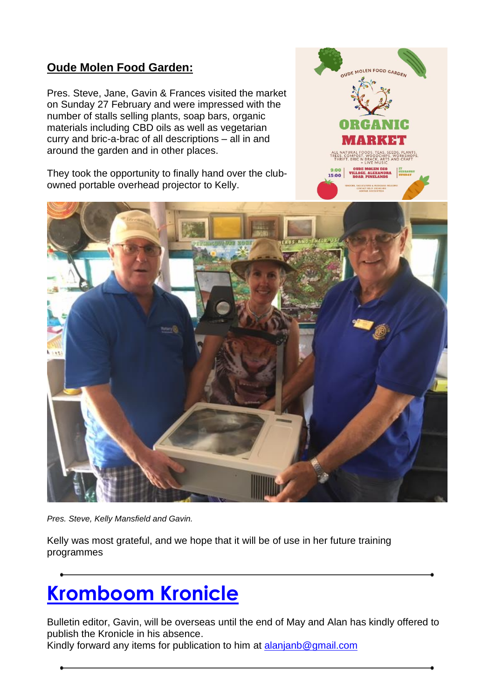#### **Oude Molen Food Garden:**

Pres. Steve, Jane, Gavin & Frances visited the market on Sunday 27 February and were impressed with the number of stalls selling plants, soap bars, organic materials including CBD oils as well as vegetarian curry and bric-a-brac of all descriptions – all in and around the garden and in other places.

They took the opportunity to finally hand over the clubowned portable overhead projector to Kelly.





*Pres. Steve, Kelly Mansfield and Gavin.*

Kelly was most grateful, and we hope that it will be of use in her future training programmes

## **Kromboom Kronicle**

Bulletin editor, Gavin, will be overseas until the end of May and Alan has kindly offered to publish the Kronicle in his absence.

Kindly forward any items for publication to him at [alanjanb@gmail.com](mailto:alanjanb@gmail.com)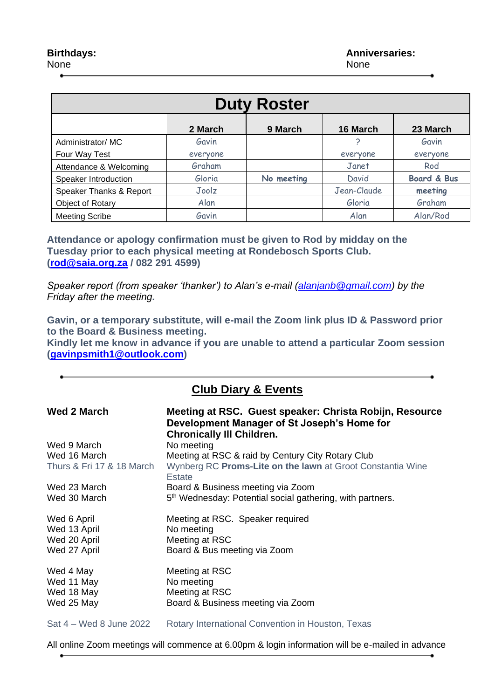| <b>Duty Roster</b>      |          |            |             |                        |  |
|-------------------------|----------|------------|-------------|------------------------|--|
|                         | 2 March  | 9 March    | 16 March    | 23 March               |  |
| Administrator/MC        | Gavin    |            |             | Gavin                  |  |
| Four Way Test           | everyone |            | everyone    | everyone               |  |
| Attendance & Welcoming  | Graham   |            | Janet       | Rod                    |  |
| Speaker Introduction    | Gloria   | No meeting | David       | <b>Board &amp; Bus</b> |  |
| Speaker Thanks & Report | Joolz    |            | Jean-Claude | meeting                |  |
| Object of Rotary        | Alan     |            | Gloria      | Graham                 |  |
| <b>Meeting Scribe</b>   | Gavin    |            | Alan        | Alan/Rod               |  |

**Attendance or apology confirmation must be given to Rod by midday on the Tuesday prior to each physical meeting at Rondebosch Sports Club. [\(rod@saia.org.za](mailto:rod@saia.org.za) / 082 291 4599)**

*Speaker report (from speaker 'thanker') to Alan's e-mail [\(alanjanb@gmail.com\)](mailto:alanjanb@gmail.com) by the Friday after the meeting.*

**Gavin, or a temporary substitute, will e-mail the Zoom link plus ID & Password prior to the Board & Business meeting.**

**Kindly let me know in advance if you are unable to attend a particular Zoom session [\(gavinpsmith1@outlook.com\)](mailto:gavinpsmith1@outlook.com)** 

#### **Club Diary & Events**

| Wed 2 March               | Meeting at RSC. Guest speaker: Christa Robijn, Resource<br>Development Manager of St Joseph's Home for<br><b>Chronically III Children.</b> |
|---------------------------|--------------------------------------------------------------------------------------------------------------------------------------------|
| Wed 9 March               | No meeting                                                                                                                                 |
| Wed 16 March              | Meeting at RSC & raid by Century City Rotary Club                                                                                          |
| Thurs & Fri 17 & 18 March | Wynberg RC Proms-Lite on the lawn at Groot Constantia Wine<br><b>Estate</b>                                                                |
| Wed 23 March              | Board & Business meeting via Zoom                                                                                                          |
| Wed 30 March              | 5 <sup>th</sup> Wednesday: Potential social gathering, with partners.                                                                      |
| Wed 6 April               | Meeting at RSC. Speaker required                                                                                                           |
| Wed 13 April              | No meeting                                                                                                                                 |
| Wed 20 April              | Meeting at RSC                                                                                                                             |
| Wed 27 April              | Board & Bus meeting via Zoom                                                                                                               |
| Wed 4 May                 | Meeting at RSC                                                                                                                             |
| Wed 11 May                | No meeting                                                                                                                                 |
| Wed 18 May                | Meeting at RSC                                                                                                                             |
| Wed 25 May                | Board & Business meeting via Zoom                                                                                                          |
|                           |                                                                                                                                            |

Sat 4 – Wed 8 June 2022 Rotary International Convention in Houston, Texas

All online Zoom meetings will commence at 6.00pm & login information will be e-mailed in advance